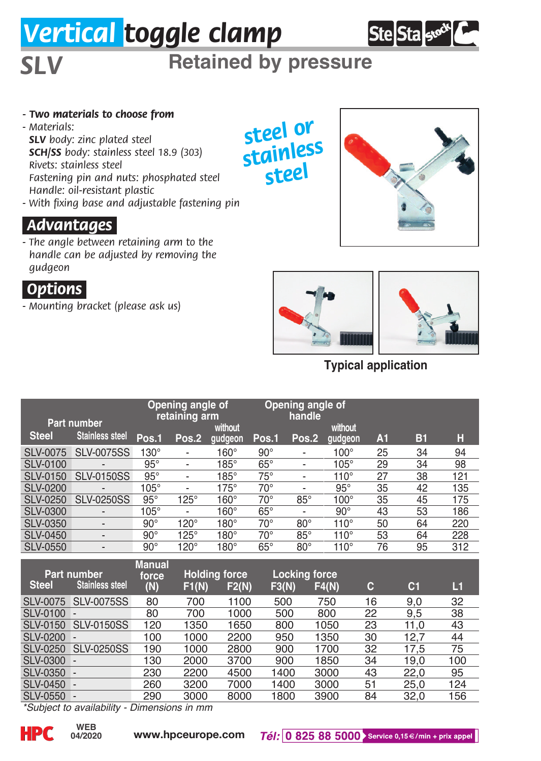# *Vertical toggle clamp*



*SLV* **Retained by pressure**

- *Two materials to choose from*
- *Materials: SLV body: zinc plated steel SCH/SS body: stainless steel 18.9 (303) Rivets: stainless steel Fastening pin and nuts: phosphated steel Handle: oil-resistant plastic*
- *With fixing base and adjustable fastening pin*

#### *.Advantages.*

*- The angle between retaining arm to the handle can be adjusted by removing the gudgeon*

## *.Options.*

*- Mounting bracket (please ask us)*









**Typical application**

|                    | Opening angle of<br>retaining arm   |                  |                              |             | Opening angle of<br>handle |                          |             |                |                |     |
|--------------------|-------------------------------------|------------------|------------------------------|-------------|----------------------------|--------------------------|-------------|----------------|----------------|-----|
| Part number        |                                     |                  |                              | without     |                            |                          | without     |                |                |     |
| <b>Steel</b>       | <b>Stainless steel</b>              | Pos.1            | Pos.2                        | qudgeon     | Pos.1                      | Pos.2                    | qudgeon     | A <sub>1</sub> | <b>B1</b>      | н   |
| <b>SLV-0075</b>    | <b>SLV-0075SS</b>                   | $130^\circ$      | $\qquad \qquad \blacksquare$ | $160^\circ$ | $90^\circ$                 |                          | $100^\circ$ | 25             | 34             | 94  |
| <b>SLV-0100</b>    |                                     | $95^\circ$       | $\overline{\phantom{a}}$     | $185^\circ$ | $65^\circ$                 | $\overline{\phantom{a}}$ | $105^\circ$ | 29             | 34             | 98  |
| <b>SLV-0150</b>    | <b>SLV-0150SS</b>                   | $95^\circ$       | $\overline{\phantom{a}}$     | $185^\circ$ | $75^{\circ}$               | $\overline{\phantom{a}}$ | $110^\circ$ | 27             | 38             | 121 |
| <b>SLV-0200</b>    |                                     | $105^\circ$      | $\overline{\phantom{0}}$     | $175^\circ$ | $70^\circ$                 | $\overline{\phantom{a}}$ | $95^\circ$  | 35             | 42             | 135 |
| <b>SLV-0250</b>    | <b>SLV-0250SS</b>                   | $95^\circ$       | $125^\circ$                  | $160^\circ$ | $70^{\circ}$               | $85^\circ$               | $100^\circ$ | 35             | 45             | 175 |
| <b>SLV-0300</b>    |                                     | $105^\circ$      | $\overline{\phantom{0}}$     | $160^\circ$ | $65^\circ$                 | $\overline{\phantom{a}}$ | $90^\circ$  | 43             | 53             | 186 |
| <b>SLV-0350</b>    | $\overline{a}$                      | $90^\circ$       | $120^\circ$                  | $180^\circ$ | $70^{\circ}$               | $80^\circ$               | $110^\circ$ | 50             | 64             | 220 |
| <b>SLV-0450</b>    | $\overline{a}$                      | $90^\circ$       | $125^\circ$                  | $180^\circ$ | $70^\circ$                 | $85^\circ$               | $110^\circ$ | 53             | 64             | 228 |
| <b>SLV-0550</b>    | $\overline{\phantom{a}}$            | $90^\circ$       | $120^\circ$                  | $180^\circ$ | $65^\circ$                 | $80^\circ$               | $110^\circ$ | 76             | 95             | 312 |
| <b>Manual</b>      |                                     |                  |                              |             |                            |                          |             |                |                |     |
| <b>Part number</b> |                                     | force            | <b>Holding force</b>         |             | <b>Locking force</b>       |                          |             |                |                |     |
| <b>Steel</b>       | <b>Stainless steel</b>              | (N)              | F1(N)                        | F2(N)       | F3(N)                      |                          | F4(N)       | c              | C <sub>1</sub> | L1  |
| <b>SLV-0075</b>    | <b>SLV-0075SS</b>                   | 80               | 700                          | 1100        | 500                        |                          | 750         | 16             | 9,0            | 32  |
| <b>SLV-0100</b>    |                                     | 80               | 700                          | 1000        | 500                        |                          | 800         | 22             | 9,5            | 38  |
| <b>SLV-0150</b>    | <b>SLV-0150SS</b>                   | 120              | 1350                         | 1650        | 800                        |                          | 1050        | 23             | 11.0           | 43  |
| <b>SLV-0200</b>    |                                     | 100              | 1000                         | 2200        | 950                        |                          | 1350        | 30             | 12,7           | 44  |
| <b>SLV-0250</b>    | <b>SLV-0250SS</b>                   | 190              | 1000                         | 2800        | 900                        |                          | 1700        | 32             | 17,5           | 75  |
| <b>SLV-0300</b>    |                                     | 130              | 2000                         | 3700        | 900                        |                          | 1850        | 34             | 19,0           | 100 |
| <b>SLV-0350</b>    |                                     | 230              | 2200                         | 4500        | 1400                       |                          | 3000        | 43             | 22,0           | 95  |
| <b>SLV-0450</b>    |                                     | 260              | 3200                         | 7000        | 1400                       |                          | 3000        | 51             | 25,0           | 124 |
| <b>SLV-0550</b>    |                                     | 290              | 3000                         | 8000        | 1800                       |                          | 3900        | 84             | 32,0           | 156 |
|                    | $*$ Cubiaat ta availabilitu $\cdot$ | Dimensione in mm |                              |             |                            |                          |             |                |                |     |

*\*Subject to availability - Dimensions in mm*

**04/2020**

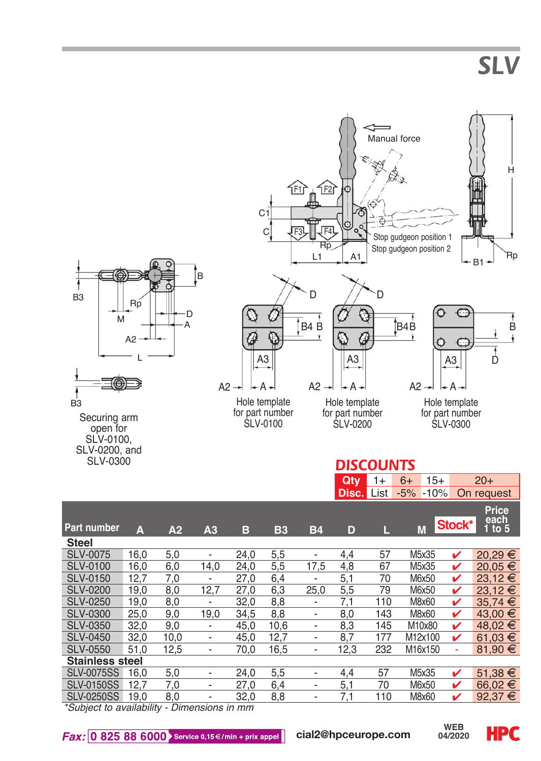*SLV*



|                        |      |      |                              |      |           |                              | <b>Disc.</b> List |     | $-5%$<br>$-10%$ |        | On request                |
|------------------------|------|------|------------------------------|------|-----------|------------------------------|-------------------|-----|-----------------|--------|---------------------------|
| <b>Part number</b>     | A    | A2   | A <sub>3</sub>               | в    | <b>B3</b> | <b>B4</b>                    | D                 | L   | M               | Stock* | Price<br>each<br>1 to $5$ |
| <b>Steel</b>           |      |      |                              |      |           |                              |                   |     |                 |        |                           |
| SLV-0075               | 16.0 | 5,0  | $\overline{\phantom{a}}$     | 24.0 | 5,5       | $\overline{\phantom{a}}$     | 4.4               | 57  | M5x35           | v      | 20,29 €                   |
| SLV-0100               | 16.0 | 6,0  | 14.0                         | 24.0 | 5,5       | 17.5                         | 4.8               | 67  | M5x35           | ✓      | $20.05 \in$               |
| <b>SLV-0150</b>        | 12.7 | 7,0  | $\overline{\phantom{a}}$     | 27.0 | 6,4       | $\overline{\phantom{a}}$     | 5,1               | 70  | M6x50           | ✓      | $23,12 \in$               |
| <b>SLV-0200</b>        | 19.0 | 8,0  | 12.7                         | 27.0 | 6,3       | 25.0                         | 5,5               | 79  | M6x50           | ✓      | $23.12 \t∈$               |
| SLV-0250               | 19.0 | 8,0  | $\overline{a}$               | 32.0 | 8,8       | $\overline{\phantom{a}}$     | 7.1               | 110 | M8x60           | v      | $35.74 \t∈$               |
| SLV-0300               | 25,0 | 9,0  | 19,0                         | 34,5 | 8,8       | $\blacksquare$               | 8,0               | 143 | M8x60           | v      | 43,00 €                   |
| <b>SLV-0350</b>        | 32.0 | 9,0  | $\overline{\phantom{a}}$     | 45.0 | 10,6      | $\blacksquare$               | 8,3               | 145 | M10x80          | ✓      | 48,02 €                   |
| <b>SLV-0450</b>        | 32.0 | 10,0 | $\qquad \qquad \blacksquare$ | 45.0 | 12.7      | $\blacksquare$               | 8.7               | 177 | M12x100         | v      | 61.03 €                   |
| SLV-0550               | 51.0 | 12.5 |                              | 70.0 | 16.5      | $\overline{\phantom{a}}$     | 12.3              | 232 | M16x150         | ٠      | 81.90 $\in$               |
| <b>Stainless steel</b> |      |      |                              |      |           |                              |                   |     |                 |        |                           |
| <b>SLV-0075SS</b>      | 16.0 | 5,0  | $\blacksquare$               | 24.0 | 5.5       | $\qquad \qquad \blacksquare$ | 4.4               | 57  | M5x35           | v      | 51,38 €                   |
| <b>SLV-0150SS</b>      | 12.7 | 7.0  | $\blacksquare$               | 27.0 | 6.4       | $\blacksquare$               | 5.1               | 70  | M6x50           | v      | 66.02 €                   |
| <b>SLV-0250SS</b>      | 19,0 | 8,0  | $\overline{\phantom{a}}$     | 32,0 | 8,8       | $\blacksquare$               | 7,1               | 110 | M8x60           | v      | 92,37 $\epsilon$          |

*\*Subject to availability - Dimensions in mm*

**04/2020**

**Qty** 1+ 6+ 15+ 20+